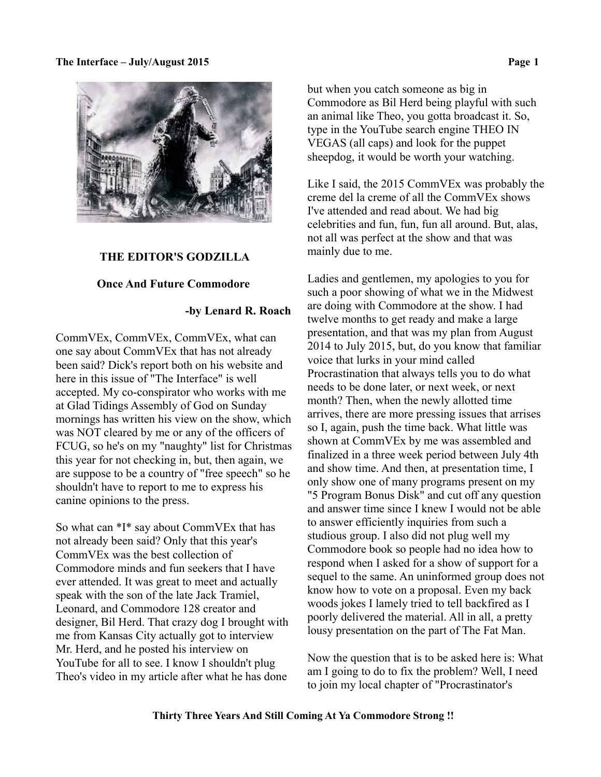

#### **THE EDITOR'S GODZILLA**

#### **Once And Future Commodore**

# **-by Lenard R. Roach**

CommVEx, CommVEx, CommVEx, what can one say about CommVEx that has not already been said? Dick's report both on his website and here in this issue of "The Interface" is well accepted. My co-conspirator who works with me at Glad Tidings Assembly of God on Sunday mornings has written his view on the show, which was NOT cleared by me or any of the officers of FCUG, so he's on my "naughty" list for Christmas this year for not checking in, but, then again, we are suppose to be a country of "free speech" so he shouldn't have to report to me to express his canine opinions to the press.

So what can \*I\* say about CommVEx that has not already been said? Only that this year's CommVEx was the best collection of Commodore minds and fun seekers that I have ever attended. It was great to meet and actually speak with the son of the late Jack Tramiel, Leonard, and Commodore 128 creator and designer, Bil Herd. That crazy dog I brought with me from Kansas City actually got to interview Mr. Herd, and he posted his interview on YouTube for all to see. I know I shouldn't plug Theo's video in my article after what he has done

but when you catch someone as big in Commodore as Bil Herd being playful with such an animal like Theo, you gotta broadcast it. So, type in the YouTube search engine THEO IN VEGAS (all caps) and look for the puppet sheepdog, it would be worth your watching.

Like I said, the 2015 CommVEx was probably the creme del la creme of all the CommVEx shows I've attended and read about. We had big celebrities and fun, fun, fun all around. But, alas, not all was perfect at the show and that was mainly due to me.

Ladies and gentlemen, my apologies to you for such a poor showing of what we in the Midwest are doing with Commodore at the show. I had twelve months to get ready and make a large presentation, and that was my plan from August 2014 to July 2015, but, do you know that familiar voice that lurks in your mind called Procrastination that always tells you to do what needs to be done later, or next week, or next month? Then, when the newly allotted time arrives, there are more pressing issues that arrises so I, again, push the time back. What little was shown at CommVEx by me was assembled and finalized in a three week period between July 4th and show time. And then, at presentation time, I only show one of many programs present on my "5 Program Bonus Disk" and cut off any question and answer time since I knew I would not be able to answer efficiently inquiries from such a studious group. I also did not plug well my Commodore book so people had no idea how to respond when I asked for a show of support for a sequel to the same. An uninformed group does not know how to vote on a proposal. Even my back woods jokes I lamely tried to tell backfired as I poorly delivered the material. All in all, a pretty lousy presentation on the part of The Fat Man.

Now the question that is to be asked here is: What am I going to do to fix the problem? Well, I need to join my local chapter of "Procrastinator's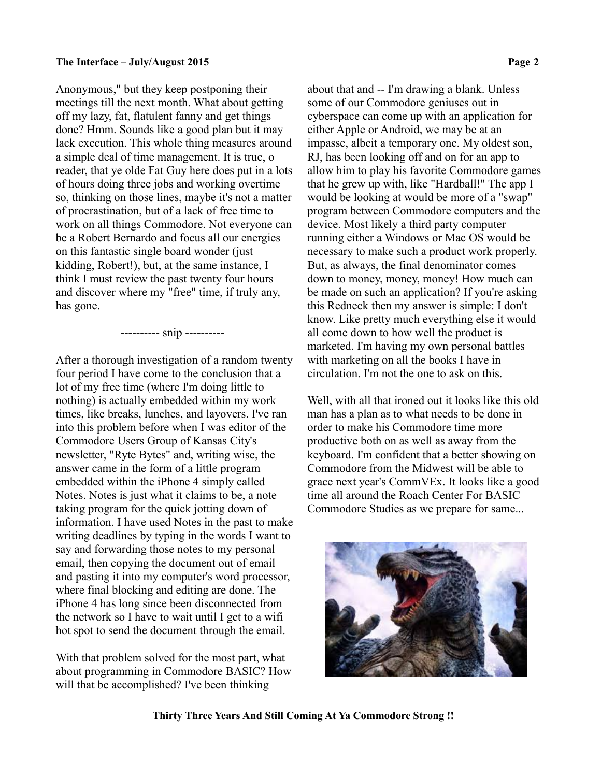Anonymous," but they keep postponing their meetings till the next month. What about getting off my lazy, fat, flatulent fanny and get things done? Hmm. Sounds like a good plan but it may lack execution. This whole thing measures around a simple deal of time management. It is true, o reader, that ye olde Fat Guy here does put in a lots of hours doing three jobs and working overtime so, thinking on those lines, maybe it's not a matter of procrastination, but of a lack of free time to work on all things Commodore. Not everyone can be a Robert Bernardo and focus all our energies on this fantastic single board wonder (just kidding, Robert!), but, at the same instance, I think I must review the past twenty four hours and discover where my "free" time, if truly any, has gone.

#### ---------- snip ----------

After a thorough investigation of a random twenty four period I have come to the conclusion that a lot of my free time (where I'm doing little to nothing) is actually embedded within my work times, like breaks, lunches, and layovers. I've ran into this problem before when I was editor of the Commodore Users Group of Kansas City's newsletter, "Ryte Bytes" and, writing wise, the answer came in the form of a little program embedded within the iPhone 4 simply called Notes. Notes is just what it claims to be, a note taking program for the quick jotting down of information. I have used Notes in the past to make writing deadlines by typing in the words I want to say and forwarding those notes to my personal email, then copying the document out of email and pasting it into my computer's word processor, where final blocking and editing are done. The iPhone 4 has long since been disconnected from the network so I have to wait until I get to a wifi hot spot to send the document through the email.

With that problem solved for the most part, what about programming in Commodore BASIC? How will that be accomplished? I've been thinking

about that and -- I'm drawing a blank. Unless some of our Commodore geniuses out in cyberspace can come up with an application for either Apple or Android, we may be at an impasse, albeit a temporary one. My oldest son, RJ, has been looking off and on for an app to allow him to play his favorite Commodore games that he grew up with, like "Hardball!" The app I would be looking at would be more of a "swap" program between Commodore computers and the device. Most likely a third party computer running either a Windows or Mac OS would be necessary to make such a product work properly. But, as always, the final denominator comes down to money, money, money! How much can be made on such an application? If you're asking this Redneck then my answer is simple: I don't know. Like pretty much everything else it would all come down to how well the product is marketed. I'm having my own personal battles with marketing on all the books I have in circulation. I'm not the one to ask on this.

Well, with all that ironed out it looks like this old man has a plan as to what needs to be done in order to make his Commodore time more productive both on as well as away from the keyboard. I'm confident that a better showing on Commodore from the Midwest will be able to grace next year's CommVEx. It looks like a good time all around the Roach Center For BASIC Commodore Studies as we prepare for same...



 **Thirty Three Years And Still Coming At Ya Commodore Strong !!**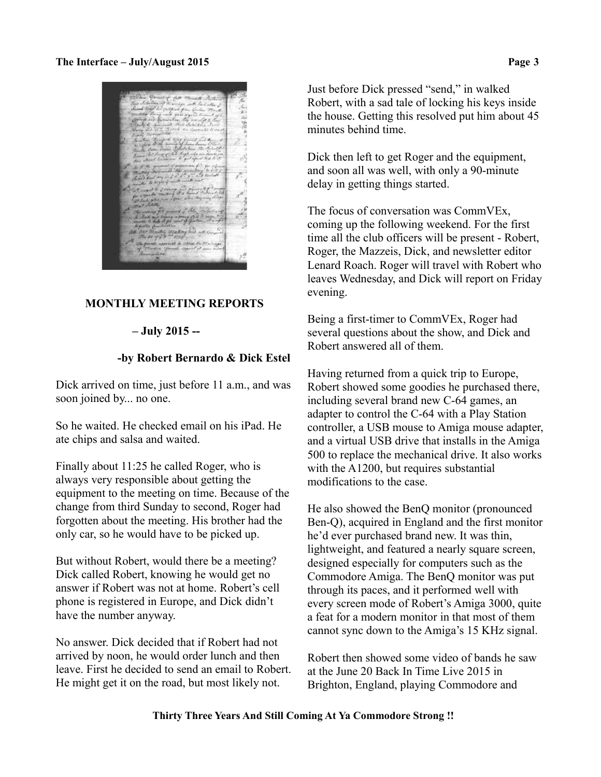# **MONTHLY MEETING REPORTS**

# **– July 2015 --**

# **-by Robert Bernardo & Dick Estel**

Dick arrived on time, just before 11 a.m., and was soon joined by... no one.

So he waited. He checked email on his iPad. He ate chips and salsa and waited.

Finally about 11:25 he called Roger, who is always very responsible about getting the equipment to the meeting on time. Because of the change from third Sunday to second, Roger had forgotten about the meeting. His brother had the only car, so he would have to be picked up.

But without Robert, would there be a meeting? Dick called Robert, knowing he would get no answer if Robert was not at home. Robert's cell phone is registered in Europe, and Dick didn't have the number anyway.

No answer. Dick decided that if Robert had not arrived by noon, he would order lunch and then leave. First he decided to send an email to Robert. He might get it on the road, but most likely not.

Just before Dick pressed "send," in walked Robert, with a sad tale of locking his keys inside the house. Getting this resolved put him about 45 minutes behind time.

Dick then left to get Roger and the equipment, and soon all was well, with only a 90-minute delay in getting things started.

The focus of conversation was CommVEx, coming up the following weekend. For the first time all the club officers will be present - Robert, Roger, the Mazzeis, Dick, and newsletter editor Lenard Roach. Roger will travel with Robert who leaves Wednesday, and Dick will report on Friday evening.

Being a first-timer to CommVEx, Roger had several questions about the show, and Dick and Robert answered all of them.

Having returned from a quick trip to Europe, Robert showed some goodies he purchased there, including several brand new C-64 games, an adapter to control the C-64 with a Play Station controller, a USB mouse to Amiga mouse adapter, and a virtual USB drive that installs in the Amiga 500 to replace the mechanical drive. It also works with the A1200, but requires substantial modifications to the case.

He also showed the BenQ monitor (pronounced Ben-Q), acquired in England and the first monitor he'd ever purchased brand new. It was thin, lightweight, and featured a nearly square screen, designed especially for computers such as the Commodore Amiga. The BenQ monitor was put through its paces, and it performed well with every screen mode of Robert's Amiga 3000, quite a feat for a modern monitor in that most of them cannot sync down to the Amiga's 15 KHz signal.

Robert then showed some video of bands he saw at the June 20 Back In Time Live 2015 in Brighton, England, playing Commodore and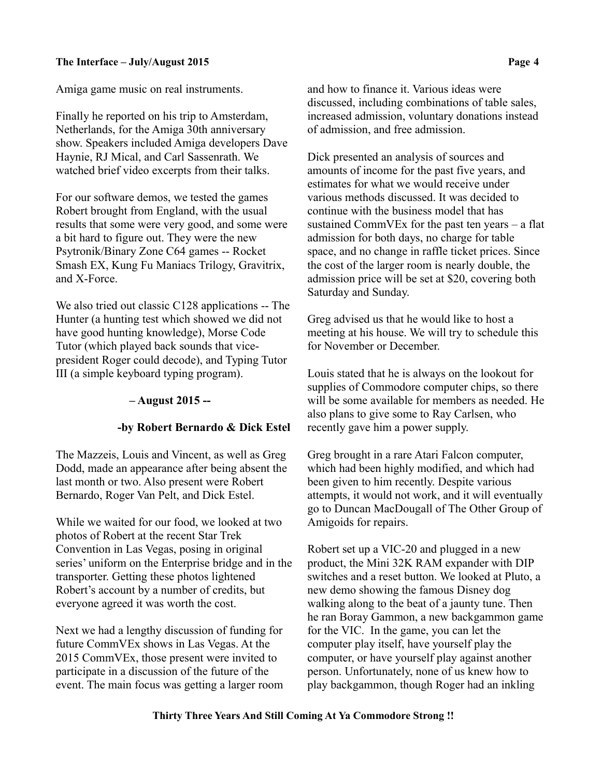Amiga game music on real instruments.

Finally he reported on his trip to Amsterdam, Netherlands, for the Amiga 30th anniversary show. Speakers included Amiga developers Dave Haynie, RJ Mical, and Carl Sassenrath. We watched brief video excerpts from their talks.

For our software demos, we tested the games Robert brought from England, with the usual results that some were very good, and some were a bit hard to figure out. They were the new Psytronik/Binary Zone C64 games -- Rocket Smash EX, Kung Fu Maniacs Trilogy, Gravitrix, and X-Force.

We also tried out classic C128 applications -- The Hunter (a hunting test which showed we did not have good hunting knowledge), Morse Code Tutor (which played back sounds that vicepresident Roger could decode), and Typing Tutor III (a simple keyboard typing program).

# **– August 2015 --**

# **-by Robert Bernardo & Dick Estel**

The Mazzeis, Louis and Vincent, as well as Greg Dodd, made an appearance after being absent the last month or two. Also present were Robert Bernardo, Roger Van Pelt, and Dick Estel.

While we waited for our food, we looked at two photos of Robert at the recent Star Trek Convention in Las Vegas, posing in original series' uniform on the Enterprise bridge and in the transporter. Getting these photos lightened Robert's account by a number of credits, but everyone agreed it was worth the cost.

Next we had a lengthy discussion of funding for future CommVEx shows in Las Vegas. At the 2015 CommVEx, those present were invited to participate in a discussion of the future of the event. The main focus was getting a larger room and how to finance it. Various ideas were discussed, including combinations of table sales, increased admission, voluntary donations instead of admission, and free admission.

Dick presented an analysis of sources and amounts of income for the past five years, and estimates for what we would receive under various methods discussed. It was decided to continue with the business model that has sustained CommVEx for the past ten years – a flat admission for both days, no charge for table space, and no change in raffle ticket prices. Since the cost of the larger room is nearly double, the admission price will be set at \$20, covering both Saturday and Sunday.

Greg advised us that he would like to host a meeting at his house. We will try to schedule this for November or December.

Louis stated that he is always on the lookout for supplies of Commodore computer chips, so there will be some available for members as needed. He also plans to give some to Ray Carlsen, who recently gave him a power supply.

Greg brought in a rare Atari Falcon computer, which had been highly modified, and which had been given to him recently. Despite various attempts, it would not work, and it will eventually go to Duncan MacDougall of The Other Group of Amigoids for repairs.

Robert set up a VIC-20 and plugged in a new product, the Mini 32K RAM expander with DIP switches and a reset button. We looked at Pluto, a new demo showing the famous Disney dog walking along to the beat of a jaunty tune. Then he ran Boray Gammon, a new backgammon game for the VIC. In the game, you can let the computer play itself, have yourself play the computer, or have yourself play against another person. Unfortunately, none of us knew how to play backgammon, though Roger had an inkling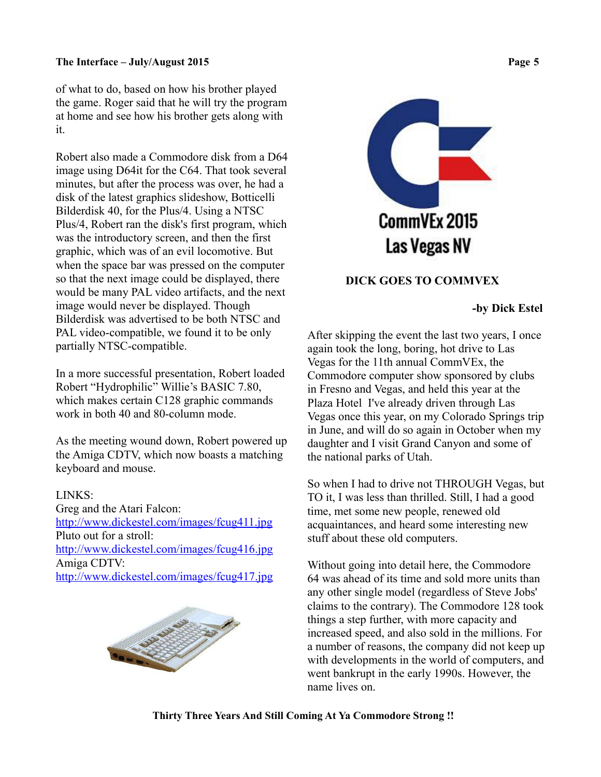of what to do, based on how his brother played the game. Roger said that he will try the program at home and see how his brother gets along with it.

Robert also made a Commodore disk from a D64 image using D64it for the C64. That took several minutes, but after the process was over, he had a disk of the latest graphics slideshow, Botticelli Bilderdisk 40, for the Plus/4. Using a NTSC Plus/4, Robert ran the disk's first program, which was the introductory screen, and then the first graphic, which was of an evil locomotive. But when the space bar was pressed on the computer so that the next image could be displayed, there would be many PAL video artifacts, and the next image would never be displayed. Though Bilderdisk was advertised to be both NTSC and PAL video-compatible, we found it to be only partially NTSC-compatible.

In a more successful presentation, Robert loaded Robert "Hydrophilic" Willie's BASIC 7.80, which makes certain C128 graphic commands work in both 40 and 80-column mode.

As the meeting wound down, Robert powered up the Amiga CDTV, which now boasts a matching keyboard and mouse.

# LINKS:

Greg and the Atari Falcon: <http://www.dickestel.com/images/fcug411.jpg> Pluto out for a stroll: <http://www.dickestel.com/images/fcug416.jpg> Amiga CDTV: <http://www.dickestel.com/images/fcug417.jpg>





# **DICK GOES TO COMMVEX**

# **-by Dick Estel**

After skipping the event the last two years, I once again took the long, boring, hot drive to Las Vegas for the 11th annual CommVEx, the Commodore computer show sponsored by clubs in Fresno and Vegas, and held this year at the Plaza Hotel I've already driven through Las Vegas once this year, on my Colorado Springs trip in June, and will do so again in October when my daughter and I visit Grand Canyon and some of the national parks of Utah.

So when I had to drive not THROUGH Vegas, but TO it, I was less than thrilled. Still, I had a good time, met some new people, renewed old acquaintances, and heard some interesting new stuff about these old computers.

Without going into detail here, the Commodore 64 was ahead of its time and sold more units than any other single model (regardless of Steve Jobs' claims to the contrary). The Commodore 128 took things a step further, with more capacity and increased speed, and also sold in the millions. For a number of reasons, the company did not keep up with developments in the world of computers, and went bankrupt in the early 1990s. However, the name lives on.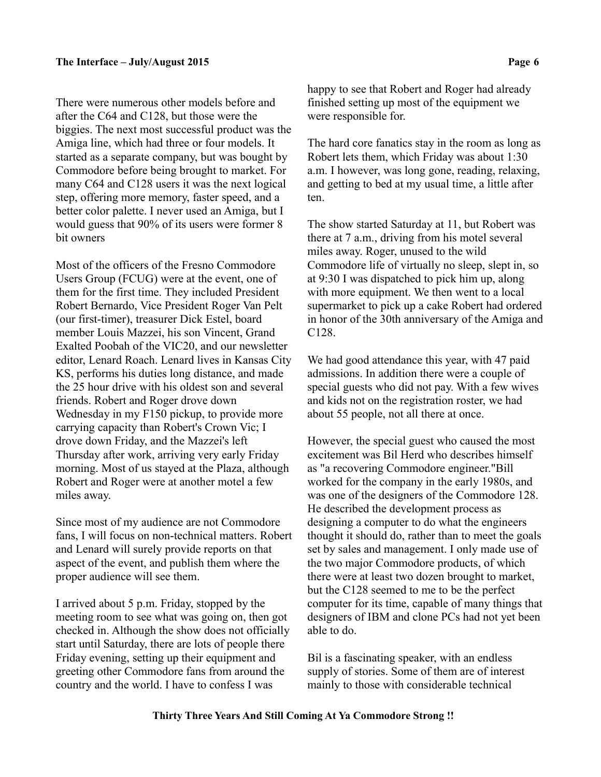There were numerous other models before and after the C64 and C128, but those were the biggies. The next most successful product was the Amiga line, which had three or four models. It started as a separate company, but was bought by Commodore before being brought to market. For many C64 and C128 users it was the next logical step, offering more memory, faster speed, and a better color palette. I never used an Amiga, but I would guess that 90% of its users were former 8 bit owners

Most of the officers of the Fresno Commodore Users Group (FCUG) were at the event, one of them for the first time. They included President Robert Bernardo, Vice President Roger Van Pelt (our first-timer), treasurer Dick Estel, board member Louis Mazzei, his son Vincent, Grand Exalted Poobah of the VIC20, and our newsletter editor, Lenard Roach. Lenard lives in Kansas City KS, performs his duties long distance, and made the 25 hour drive with his oldest son and several friends. Robert and Roger drove down Wednesday in my F150 pickup, to provide more carrying capacity than Robert's Crown Vic; I drove down Friday, and the Mazzei's left Thursday after work, arriving very early Friday morning. Most of us stayed at the Plaza, although Robert and Roger were at another motel a few miles away.

Since most of my audience are not Commodore fans, I will focus on non-technical matters. Robert and Lenard will surely provide reports on that aspect of the event, and publish them where the proper audience will see them.

I arrived about 5 p.m. Friday, stopped by the meeting room to see what was going on, then got checked in. Although the show does not officially start until Saturday, there are lots of people there Friday evening, setting up their equipment and greeting other Commodore fans from around the country and the world. I have to confess I was

happy to see that Robert and Roger had already finished setting up most of the equipment we were responsible for.

The hard core fanatics stay in the room as long as Robert lets them, which Friday was about 1:30 a.m. I however, was long gone, reading, relaxing, and getting to bed at my usual time, a little after ten.

The show started Saturday at 11, but Robert was there at 7 a.m., driving from his motel several miles away. Roger, unused to the wild Commodore life of virtually no sleep, slept in, so at 9:30 I was dispatched to pick him up, along with more equipment. We then went to a local supermarket to pick up a cake Robert had ordered in honor of the 30th anniversary of the Amiga and C128.

We had good attendance this year, with 47 paid admissions. In addition there were a couple of special guests who did not pay. With a few wives and kids not on the registration roster, we had about 55 people, not all there at once.

However, the special guest who caused the most excitement was Bil Herd who describes himself as "a recovering Commodore engineer."Bill worked for the company in the early 1980s, and was one of the designers of the Commodore 128. He described the development process as designing a computer to do what the engineers thought it should do, rather than to meet the goals set by sales and management. I only made use of the two major Commodore products, of which there were at least two dozen brought to market, but the C128 seemed to me to be the perfect computer for its time, capable of many things that designers of IBM and clone PCs had not yet been able to do.

Bil is a fascinating speaker, with an endless supply of stories. Some of them are of interest mainly to those with considerable technical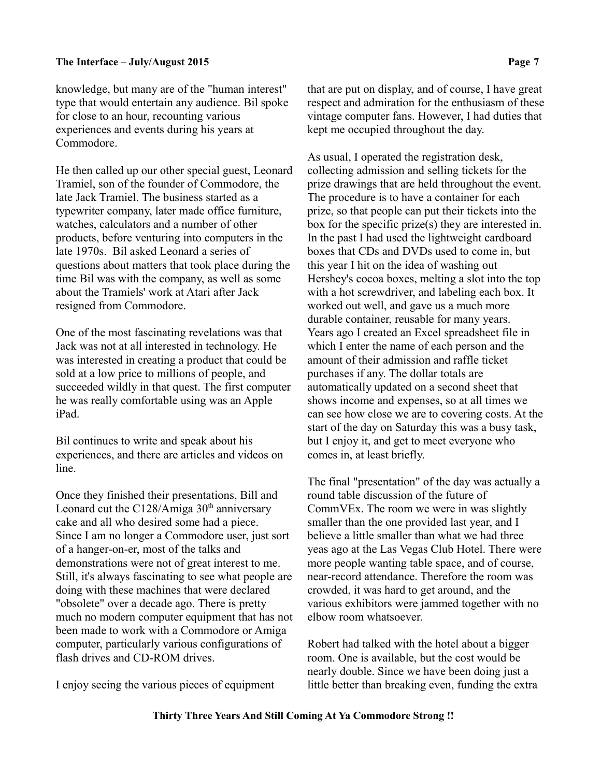knowledge, but many are of the "human interest" type that would entertain any audience. Bil spoke for close to an hour, recounting various experiences and events during his years at Commodore.

He then called up our other special guest, Leonard Tramiel, son of the founder of Commodore, the late Jack Tramiel. The business started as a typewriter company, later made office furniture, watches, calculators and a number of other products, before venturing into computers in the late 1970s. Bil asked Leonard a series of questions about matters that took place during the time Bil was with the company, as well as some about the Tramiels' work at Atari after Jack resigned from Commodore.

One of the most fascinating revelations was that Jack was not at all interested in technology. He was interested in creating a product that could be sold at a low price to millions of people, and succeeded wildly in that quest. The first computer he was really comfortable using was an Apple iPad.

Bil continues to write and speak about his experiences, and there are articles and videos on line.

Once they finished their presentations, Bill and Leonard cut the C128/Amiga  $30<sup>th</sup>$  anniversary cake and all who desired some had a piece. Since I am no longer a Commodore user, just sort of a hanger-on-er, most of the talks and demonstrations were not of great interest to me. Still, it's always fascinating to see what people are doing with these machines that were declared "obsolete" over a decade ago. There is pretty much no modern computer equipment that has not been made to work with a Commodore or Amiga computer, particularly various configurations of flash drives and CD-ROM drives.

I enjoy seeing the various pieces of equipment

that are put on display, and of course, I have great respect and admiration for the enthusiasm of these vintage computer fans. However, I had duties that kept me occupied throughout the day.

As usual, I operated the registration desk, collecting admission and selling tickets for the prize drawings that are held throughout the event. The procedure is to have a container for each prize, so that people can put their tickets into the box for the specific prize(s) they are interested in. In the past I had used the lightweight cardboard boxes that CDs and DVDs used to come in, but this year I hit on the idea of washing out Hershey's cocoa boxes, melting a slot into the top with a hot screwdriver, and labeling each box. It worked out well, and gave us a much more durable container, reusable for many years. Years ago I created an Excel spreadsheet file in which I enter the name of each person and the amount of their admission and raffle ticket purchases if any. The dollar totals are automatically updated on a second sheet that shows income and expenses, so at all times we can see how close we are to covering costs. At the start of the day on Saturday this was a busy task, but I enjoy it, and get to meet everyone who comes in, at least briefly.

The final "presentation" of the day was actually a round table discussion of the future of CommVEx. The room we were in was slightly smaller than the one provided last year, and I believe a little smaller than what we had three yeas ago at the Las Vegas Club Hotel. There were more people wanting table space, and of course, near-record attendance. Therefore the room was crowded, it was hard to get around, and the various exhibitors were jammed together with no elbow room whatsoever.

Robert had talked with the hotel about a bigger room. One is available, but the cost would be nearly double. Since we have been doing just a little better than breaking even, funding the extra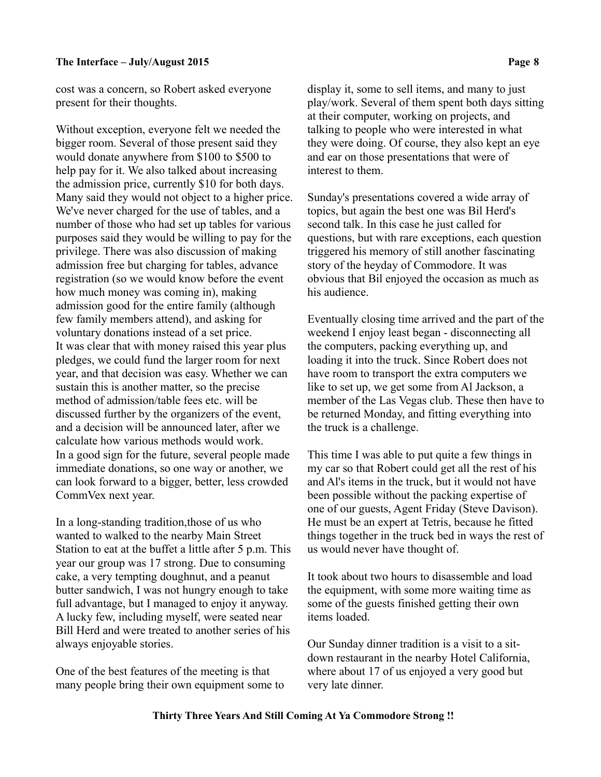cost was a concern, so Robert asked everyone present for their thoughts.

Without exception, everyone felt we needed the bigger room. Several of those present said they would donate anywhere from \$100 to \$500 to help pay for it. We also talked about increasing the admission price, currently \$10 for both days. Many said they would not object to a higher price. We've never charged for the use of tables, and a number of those who had set up tables for various purposes said they would be willing to pay for the privilege. There was also discussion of making admission free but charging for tables, advance registration (so we would know before the event how much money was coming in), making admission good for the entire family (although few family members attend), and asking for voluntary donations instead of a set price. It was clear that with money raised this year plus pledges, we could fund the larger room for next year, and that decision was easy. Whether we can sustain this is another matter, so the precise method of admission/table fees etc. will be discussed further by the organizers of the event, and a decision will be announced later, after we calculate how various methods would work. In a good sign for the future, several people made immediate donations, so one way or another, we can look forward to a bigger, better, less crowded CommVex next year.

In a long-standing tradition,those of us who wanted to walked to the nearby Main Street Station to eat at the buffet a little after 5 p.m. This year our group was 17 strong. Due to consuming cake, a very tempting doughnut, and a peanut butter sandwich, I was not hungry enough to take full advantage, but I managed to enjoy it anyway. A lucky few, including myself, were seated near Bill Herd and were treated to another series of his always enjoyable stories.

One of the best features of the meeting is that many people bring their own equipment some to display it, some to sell items, and many to just play/work. Several of them spent both days sitting at their computer, working on projects, and talking to people who were interested in what they were doing. Of course, they also kept an eye and ear on those presentations that were of interest to them.

Sunday's presentations covered a wide array of topics, but again the best one was Bil Herd's second talk. In this case he just called for questions, but with rare exceptions, each question triggered his memory of still another fascinating story of the heyday of Commodore. It was obvious that Bil enjoyed the occasion as much as his audience.

Eventually closing time arrived and the part of the weekend I enjoy least began - disconnecting all the computers, packing everything up, and loading it into the truck. Since Robert does not have room to transport the extra computers we like to set up, we get some from Al Jackson, a member of the Las Vegas club. These then have to be returned Monday, and fitting everything into the truck is a challenge.

This time I was able to put quite a few things in my car so that Robert could get all the rest of his and Al's items in the truck, but it would not have been possible without the packing expertise of one of our guests, Agent Friday (Steve Davison). He must be an expert at Tetris, because he fitted things together in the truck bed in ways the rest of us would never have thought of.

It took about two hours to disassemble and load the equipment, with some more waiting time as some of the guests finished getting their own items loaded.

Our Sunday dinner tradition is a visit to a sitdown restaurant in the nearby Hotel California, where about 17 of us enjoyed a very good but very late dinner.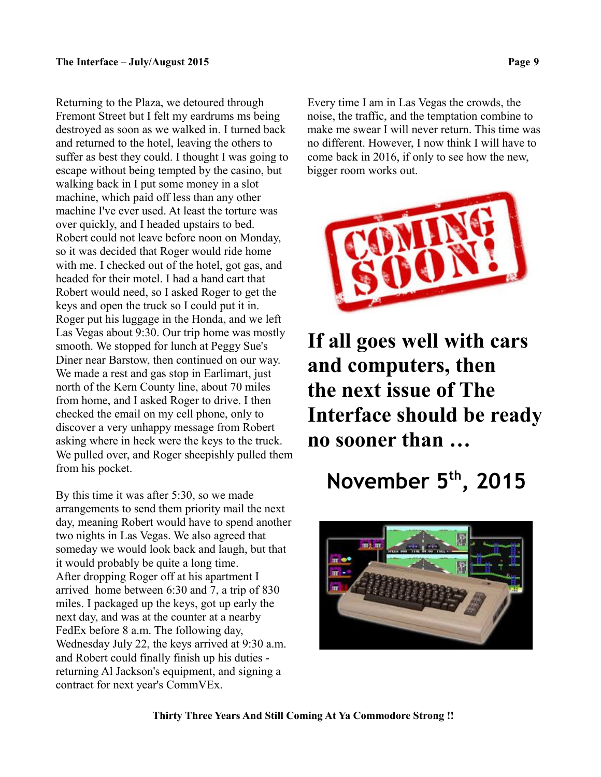Returning to the Plaza, we detoured through Fremont Street but I felt my eardrums ms being destroyed as soon as we walked in. I turned back and returned to the hotel, leaving the others to suffer as best they could. I thought I was going to escape without being tempted by the casino, but walking back in I put some money in a slot machine, which paid off less than any other machine I've ever used. At least the torture was over quickly, and I headed upstairs to bed. Robert could not leave before noon on Monday, so it was decided that Roger would ride home with me. I checked out of the hotel, got gas, and headed for their motel. I had a hand cart that Robert would need, so I asked Roger to get the keys and open the truck so I could put it in. Roger put his luggage in the Honda, and we left Las Vegas about 9:30. Our trip home was mostly smooth. We stopped for lunch at Peggy Sue's Diner near Barstow, then continued on our way. We made a rest and gas stop in Earlimart, just north of the Kern County line, about 70 miles from home, and I asked Roger to drive. I then checked the email on my cell phone, only to discover a very unhappy message from Robert asking where in heck were the keys to the truck. We pulled over, and Roger sheepishly pulled them from his pocket.

By this time it was after 5:30, so we made arrangements to send them priority mail the next day, meaning Robert would have to spend another two nights in Las Vegas. We also agreed that someday we would look back and laugh, but that it would probably be quite a long time. After dropping Roger off at his apartment I arrived home between 6:30 and 7, a trip of 830 miles. I packaged up the keys, got up early the next day, and was at the counter at a nearby FedEx before 8 a.m. The following day, Wednesday July 22, the keys arrived at 9:30 a.m. and Robert could finally finish up his duties returning Al Jackson's equipment, and signing a contract for next year's CommVEx.

Every time I am in Las Vegas the crowds, the noise, the traffic, and the temptation combine to make me swear I will never return. This time was no different. However, I now think I will have to come back in 2016, if only to see how the new, bigger room works out.



**If all goes well with cars and computers, then the next issue of The Interface should be ready no sooner than …**

# **November 5th, 2015**



 **Thirty Three Years And Still Coming At Ya Commodore Strong !!**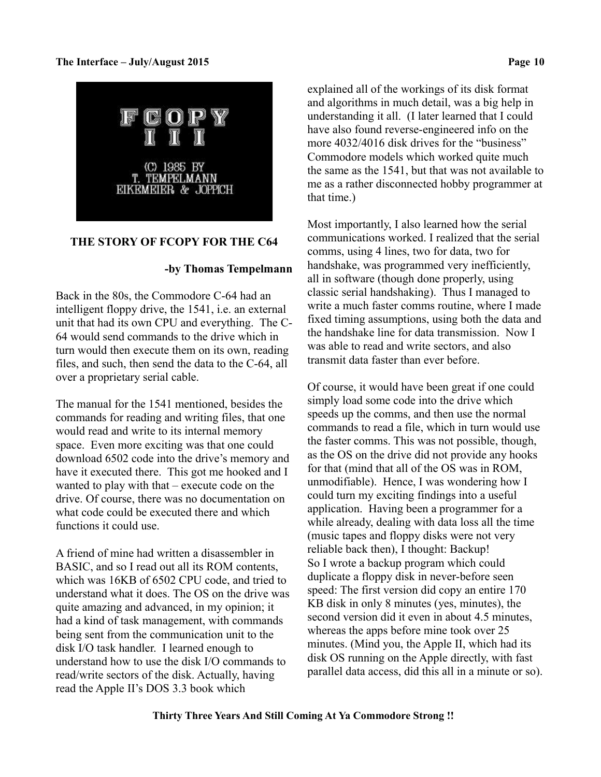

# **THE STORY OF FCOPY FOR THE C64**

# **-by Thomas Tempelmann**

Back in the 80s, the Commodore C-64 had an intelligent floppy drive, the 1541, i.e. an external unit that had its own CPU and everything. The C-64 would send commands to the drive which in turn would then execute them on its own, reading files, and such, then send the data to the C-64, all over a proprietary serial cable.

The manual for the 1541 mentioned, besides the commands for reading and writing files, that one would read and write to its internal memory space. Even more exciting was that one could download 6502 code into the drive's memory and have it executed there. This got me hooked and I wanted to play with that – execute code on the drive. Of course, there was no documentation on what code could be executed there and which functions it could use.

A friend of mine had written a disassembler in BASIC, and so I read out all its ROM contents, which was 16KB of 6502 CPU code, and tried to understand what it does. The OS on the drive was quite amazing and advanced, in my opinion; it had a kind of task management, with commands being sent from the communication unit to the disk I/O task handler. I learned enough to understand how to use the disk I/O commands to read/write sectors of the disk. Actually, having read the Apple II's DOS 3.3 book which

explained all of the workings of its disk format and algorithms in much detail, was a big help in understanding it all. (I later learned that I could have also found reverse-engineered info on the more 4032/4016 disk drives for the "business" Commodore models which worked quite much the same as the 1541, but that was not available to me as a rather disconnected hobby programmer at that time.)

Most importantly, I also learned how the serial communications worked. I realized that the serial comms, using 4 lines, two for data, two for handshake, was programmed very inefficiently, all in software (though done properly, using classic serial handshaking). Thus I managed to write a much faster comms routine, where I made fixed timing assumptions, using both the data and the handshake line for data transmission. Now I was able to read and write sectors, and also transmit data faster than ever before.

Of course, it would have been great if one could simply load some code into the drive which speeds up the comms, and then use the normal commands to read a file, which in turn would use the faster comms. This was not possible, though, as the OS on the drive did not provide any hooks for that (mind that all of the OS was in ROM, unmodifiable). Hence, I was wondering how I could turn my exciting findings into a useful application. Having been a programmer for a while already, dealing with data loss all the time (music tapes and floppy disks were not very reliable back then), I thought: Backup! So I wrote a backup program which could duplicate a floppy disk in never-before seen speed: The first version did copy an entire 170 KB disk in only 8 minutes (yes, minutes), the second version did it even in about 4.5 minutes, whereas the apps before mine took over 25 minutes. (Mind you, the Apple II, which had its disk OS running on the Apple directly, with fast parallel data access, did this all in a minute or so).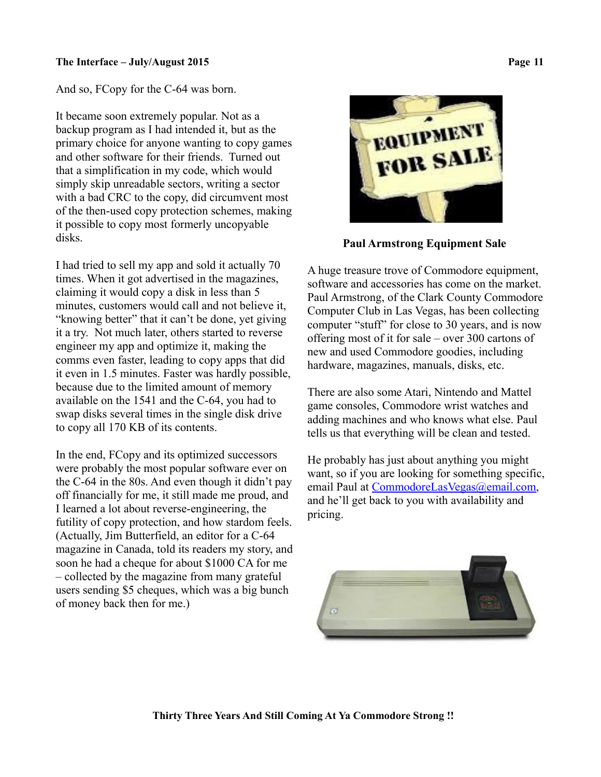And so, FCopy for the C-64 was born.

It became soon extremely popular. Not as a backup program as I had intended it, but as the primary choice for anyone wanting to copy games and other software for their friends. Turned out that a simplification in my code, which would simply skip unreadable sectors, writing a sector with a bad CRC to the copy, did circumvent most of the then-used copy protection schemes, making it possible to copy most formerly uncopyable disks.

I had tried to sell my app and sold it actually 70 times. When it got advertised in the magazines, claiming it would copy a disk in less than 5 minutes, customers would call and not believe it, "knowing better" that it can't be done, yet giving it a try. Not much later, others started to reverse engineer my app and optimize it, making the comms even faster, leading to copy apps that did it even in 1.5 minutes. Faster was hardly possible, because due to the limited amount of memory available on the 1541 and the C-64, you had to swap disks several times in the single disk drive to copy all 170 KB of its contents.

In the end, FCopy and its optimized successors were probably the most popular software ever on the C-64 in the 80s. And even though it didn't pay off financially for me, it still made me proud, and I learned a lot about reverse-engineering, the futility of copy protection, and how stardom feels. (Actually, Jim Butterfield, an editor for a C-64 magazine in Canada, told its readers my story, and soon he had a cheque for about \$1000 CA for me – collected by the magazine from many grateful users sending \$5 cheques, which was a big bunch of money back then for me.)



 **Paul Armstrong Equipment Sale**

A huge treasure trove of Commodore equipment, software and accessories has come on the market. Paul Armstrong, of the Clark County Commodore Computer Club in Las Vegas, has been collecting computer "stuff" for close to 30 years, and is now offering most of it for sale – over 300 cartons of new and used Commodore goodies, including hardware, magazines, manuals, disks, etc.

There are also some Atari, Nintendo and Mattel game consoles, Commodore wrist watches and adding machines and who knows what else. Paul tells us that everything will be clean and tested.

He probably has just about anything you might want, so if you are looking for something specific, email Paul at [CommodoreLasVegas@email.com,](mailto:CommodoreLasVegas@email.com) and he'll get back to you with availability and pricing.

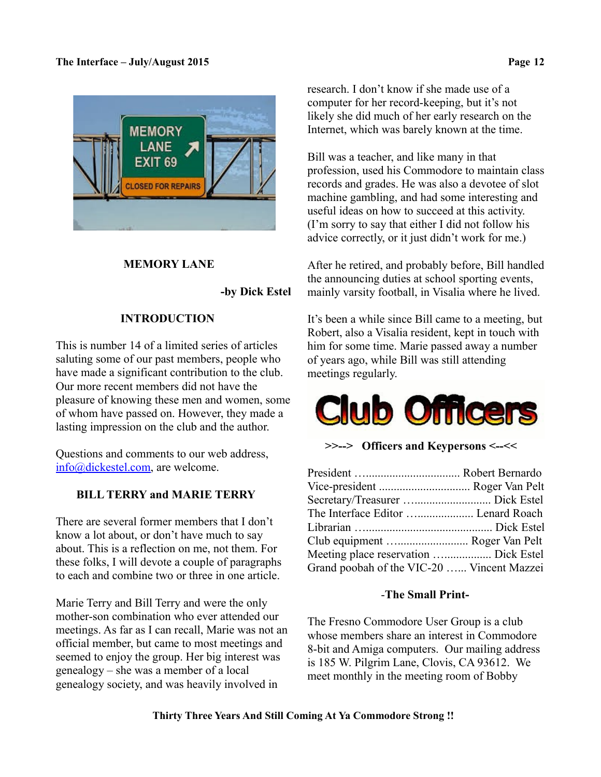

# **MEMORY LANE**

 **-by Dick Estel**

# **INTRODUCTION**

This is number 14 of a limited series of articles saluting some of our past members, people who have made a significant contribution to the club. Our more recent members did not have the pleasure of knowing these men and women, some of whom have passed on. However, they made a lasting impression on the club and the author.

Questions and comments to our web address, [info@dickestel.com,](mailto:info@dickestel.com) are welcome.

# **BILL TERRY and MARIE TERRY**

There are several former members that I don't know a lot about, or don't have much to say about. This is a reflection on me, not them. For these folks, I will devote a couple of paragraphs to each and combine two or three in one article.

Marie Terry and Bill Terry and were the only mother-son combination who ever attended our meetings. As far as I can recall, Marie was not an official member, but came to most meetings and seemed to enjoy the group. Her big interest was genealogy – she was a member of a local genealogy society, and was heavily involved in

research. I don't know if she made use of a computer for her record-keeping, but it's not likely she did much of her early research on the Internet, which was barely known at the time.

Bill was a teacher, and like many in that profession, used his Commodore to maintain class records and grades. He was also a devotee of slot machine gambling, and had some interesting and useful ideas on how to succeed at this activity. (I'm sorry to say that either I did not follow his advice correctly, or it just didn't work for me.)

After he retired, and probably before, Bill handled the announcing duties at school sporting events, mainly varsity football, in Visalia where he lived.

It's been a while since Bill came to a meeting, but Robert, also a Visalia resident, kept in touch with him for some time. Marie passed away a number of years ago, while Bill was still attending meetings regularly.

# ub Office

**>>--> Officers and Keypersons <--<<**

| Vice-president  Roger Van Pelt             |  |
|--------------------------------------------|--|
|                                            |  |
| The Interface Editor  Lenard Roach         |  |
|                                            |  |
| Club equipment  Roger Van Pelt             |  |
| Meeting place reservation  Dick Estel      |  |
| Grand poobah of the VIC-20  Vincent Mazzei |  |

# -**The Small Print-**

The Fresno Commodore User Group is a club whose members share an interest in Commodore 8-bit and Amiga computers. Our mailing address is 185 W. Pilgrim Lane, Clovis, CA 93612. We meet monthly in the meeting room of Bobby